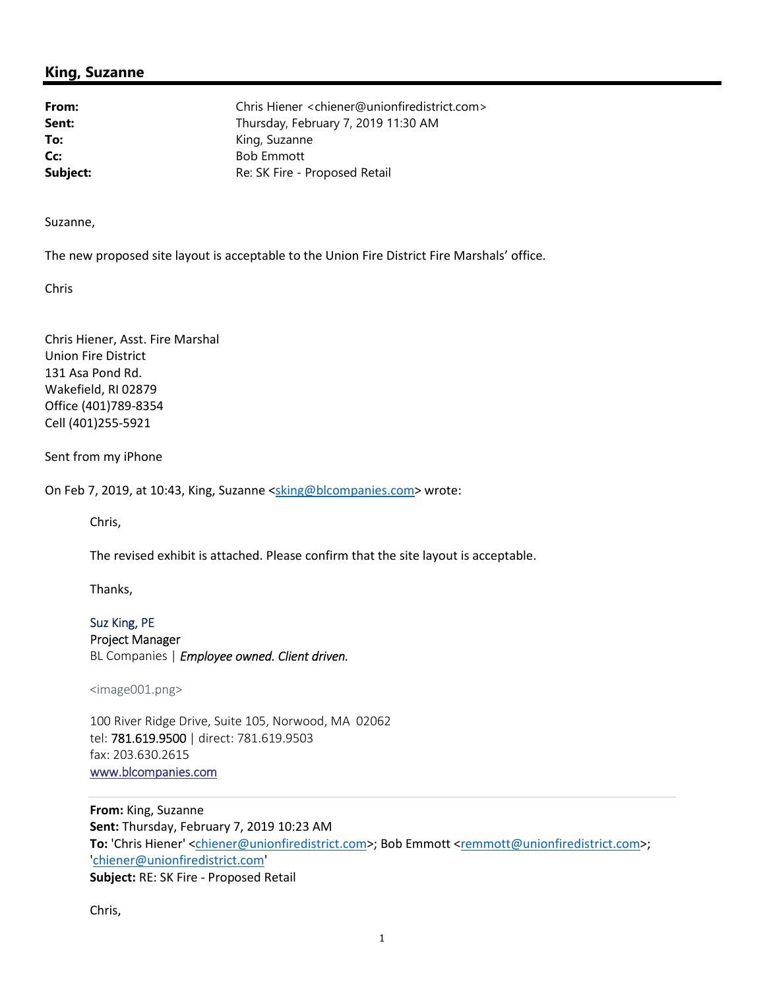## **King, Suzanne**

**From:** Chris Hiener <chiener@unionfiredistrict.com> Sent: **Sent:** Thursday, February 7, 2019 11:30 AM To: King, Suzanne **Cc:** Bob Emmott **Subject:** Re: SK Fire - Proposed Retail

Suzanne,

The new proposed site layout is acceptable to the Union Fire District Fire Marshals' office.

Chris

Chris Hiener, Asst. Fire Marshal Union Fire District 131 Asa Pond Rd. Wakefield, RI 02879 Office (401)789-8354 Cell (401)255-5921

Sent from my iPhone

On Feb 7, 2019, at 10:43, King, Suzanne <sking@blcompanies.com> wrote:

Chris,

The revised exhibit is attached. Please confirm that the site layout is acceptable.

Thanks,

Suz King, PE Project Manager BL Companies | *Employee owned. Client driven.*

<image001.png>

100 River Ridge Drive, Suite 105, Norwood, MA 02062 tel: 781.619.9500 | direct: 781.619.9503 fax: 203.630.2615 www.blcompanies.com

**From:** King, Suzanne **Sent:** Thursday, February 7, 2019 10:23 AM To: 'Chris Hiener' <chiener@unionfiredistrict.com>; Bob Emmott <remmott@unionfiredistrict.com>; 'chiener@unionfiredistrict.com' **Subject:** RE: SK Fire - Proposed Retail

Chris,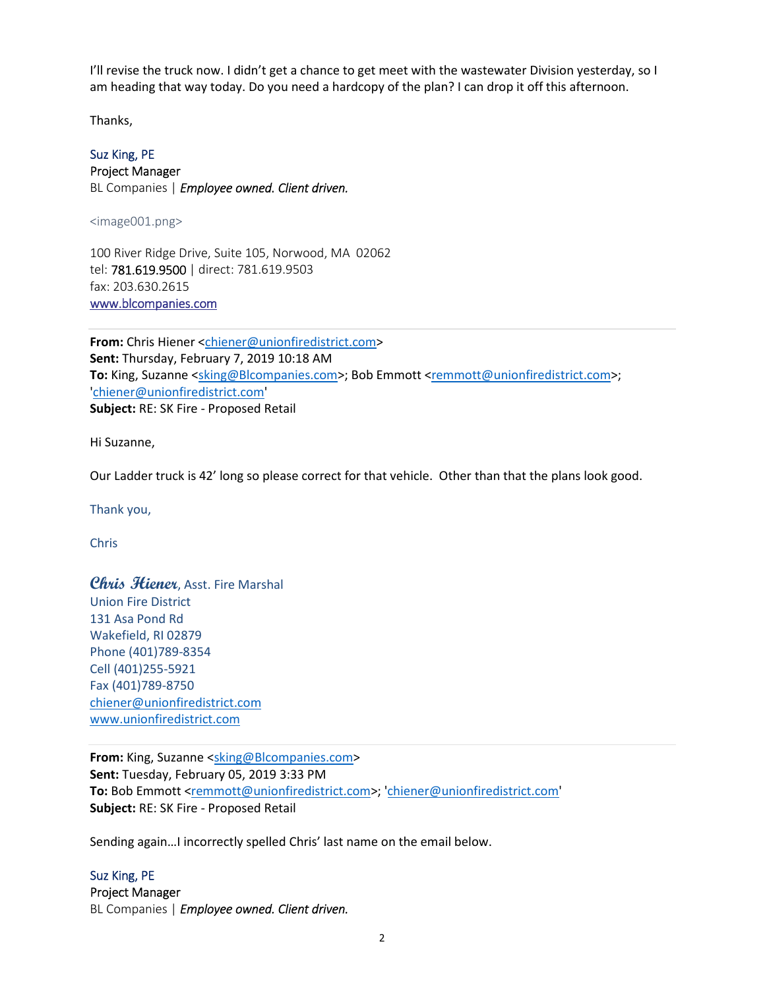I'll revise the truck now. I didn't get a chance to get meet with the wastewater Division yesterday, so I am heading that way today. Do you need a hardcopy of the plan? I can drop it off this afternoon.

Thanks,

## Suz King, PE

Project Manager BL Companies | *Employee owned. Client driven.*

<image001.png>

100 River Ridge Drive, Suite 105, Norwood, MA 02062 tel: 781.619.9500 | direct: 781.619.9503 fax: 203.630.2615 www.blcompanies.com

**From:** Chris Hiener <chiener@unionfiredistrict.com> **Sent:** Thursday, February 7, 2019 10:18 AM To: King, Suzanne <sking@Blcompanies.com>; Bob Emmott <remmott@unionfiredistrict.com>; 'chiener@unionfiredistrict.com' **Subject:** RE: SK Fire - Proposed Retail

Hi Suzanne,

Our Ladder truck is 42' long so please correct for that vehicle. Other than that the plans look good.

Thank you,

Chris

**Chris Hiener**, Asst. Fire Marshal Union Fire District 131 Asa Pond Rd Wakefield, RI 02879 Phone (401)789-8354 Cell (401)255-5921 Fax (401)789-8750 chiener@unionfiredistrict.com www.unionfiredistrict.com

**From:** King, Suzanne <sking@Blcompanies.com> **Sent:** Tuesday, February 05, 2019 3:33 PM **To:** Bob Emmott <remmott@unionfiredistrict.com>; 'chiener@unionfiredistrict.com' **Subject:** RE: SK Fire - Proposed Retail

Sending again…I incorrectly spelled Chris' last name on the email below.

Suz King, PE Project Manager BL Companies | *Employee owned. Client driven.*